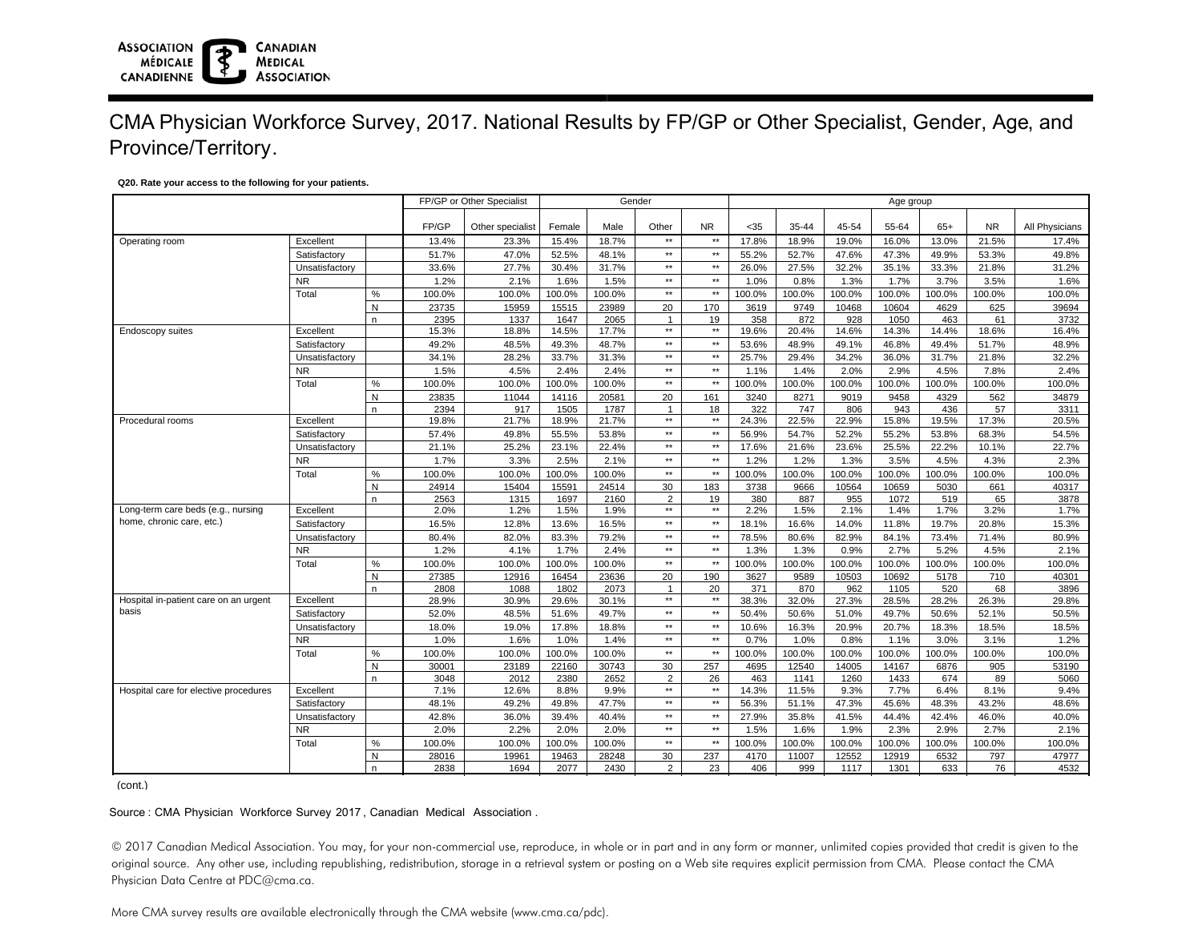# CMA Physician Workforce Survey, 2017. National Results by FP/GP or Other Specialist, Gender, Age, and Province/Territory.

### **Q20. Rate your access to the following for your patients.**

**CANADIAN** 

**MEDICAL ASSOCIATION** 

**ASSOCIATION** 

**CANADIENNE** 

**MÉDICALE** 

|                                       |                |      |        | FP/GP or Other Specialist |        |        | Gender         |                 | Age group |        |        |        |        |           |                |  |
|---------------------------------------|----------------|------|--------|---------------------------|--------|--------|----------------|-----------------|-----------|--------|--------|--------|--------|-----------|----------------|--|
|                                       |                |      | FP/GP  | Other specialist          | Female | Male   | Other          | <b>NR</b>       | $35$      | 35-44  | 45-54  | 55-64  | $65+$  | <b>NR</b> | All Physicians |  |
| Operating room                        | Excellent      |      | 13.4%  | 23.3%                     | 15.4%  | 18.7%  | $\star\star$   | $\star\star$    | 17.8%     | 18.9%  | 19.0%  | 16.0%  | 13.0%  | 21.5%     | 17.4%          |  |
|                                       | Satisfactory   |      | 51.7%  | 47.0%                     | 52.5%  | 48.1%  | $\star\star$   | $^{\star\star}$ | 55.2%     | 52.7%  | 47.6%  | 47.3%  | 49.9%  | 53.3%     | 49.8%          |  |
|                                       | Unsatisfactory |      | 33.6%  | 27.7%                     | 30.4%  | 31.7%  | $\star\star$   | $^{\star\star}$ | 26.0%     | 27.5%  | 32.2%  | 35.1%  | 33.3%  | 21.8%     | 31.2%          |  |
|                                       | <b>NR</b>      |      | 1.2%   | 2.1%                      | 1.6%   | 1.5%   | $\star\star$   | $\star\star$    | 1.0%      | 0.8%   | 1.3%   | 1.7%   | 3.7%   | 3.5%      | 1.6%           |  |
|                                       | Total          | $\%$ | 100.0% | 100.0%                    | 100.0% | 100.0% | $**$           | $\star\star$    | 100.0%    | 100.0% | 100.0% | 100.0% | 100.0% | 100.0%    | 100.0%         |  |
|                                       |                | N    | 23735  | 15959                     | 15515  | 23989  | 20             | 170             | 3619      | 9749   | 10468  | 10604  | 4629   | 625       | 39694          |  |
|                                       |                | n.   | 2395   | 1337                      | 1647   | 2065   | $\mathbf{1}$   | 19              | 358       | 872    | 928    | 1050   | 463    | 61        | 3732           |  |
| Endoscopy suites                      | Excellent      |      | 15.3%  | 18.8%                     | 14.5%  | 17.7%  | $**$           | $\star\star$    | 19.6%     | 20.4%  | 14.6%  | 14.3%  | 14.4%  | 18.6%     | 16.4%          |  |
|                                       | Satisfactory   |      | 49.2%  | 48.5%                     | 49.3%  | 48.7%  | $\star\star$   | $^{\star\star}$ | 53.6%     | 48.9%  | 49.1%  | 46.8%  | 49.4%  | 51.7%     | 48.9%          |  |
|                                       | Unsatisfactory |      | 34.1%  | 28.2%                     | 33.7%  | 31.3%  | $\star\star$   | $\star\star$    | 25.7%     | 29.4%  | 34.2%  | 36.0%  | 31.7%  | 21.8%     | 32.2%          |  |
|                                       | <b>NR</b>      |      | 1.5%   | 4.5%                      | 2.4%   | 2.4%   | $\star\star$   | $\star\star$    | 1.1%      | 1.4%   | 2.0%   | 2.9%   | 4.5%   | 7.8%      | 2.4%           |  |
|                                       | Total          | $\%$ | 100.0% | 100.0%                    | 100.0% | 100.0% | $\star\star$   | $^{\star\star}$ | 100.0%    | 100.0% | 100.0% | 100.0% | 100.0% | 100.0%    | 100.0%         |  |
|                                       |                | N    | 23835  | 11044                     | 14116  | 20581  | 20             | 161             | 3240      | 8271   | 9019   | 9458   | 4329   | 562       | 34879          |  |
|                                       |                | n.   | 2394   | 917                       | 1505   | 1787   | $\overline{1}$ | 18              | 322       | 747    | 806    | 943    | 436    | 57        | 3311           |  |
| Procedural rooms                      | Excellent      |      | 19.8%  | 21.7%                     | 18.9%  | 21.7%  | $\star\star$   | $\star\star$    | 24.3%     | 22.5%  | 22.9%  | 15.8%  | 19.5%  | 17.3%     | 20.5%          |  |
|                                       | Satisfactory   |      | 57.4%  | 49.8%                     | 55.5%  | 53.8%  | $**$           | $\star\star$    | 56.9%     | 54.7%  | 52.2%  | 55.2%  | 53.8%  | 68.3%     | 54.5%          |  |
|                                       | Unsatisfactory |      | 21.1%  | 25.2%                     | 23.1%  | 22.4%  | $\star\star$   | $\star\star$    | 17.6%     | 21.6%  | 23.6%  | 25.5%  | 22.2%  | 10.1%     | 22.7%          |  |
|                                       | <b>NR</b>      |      | 1.7%   | 3.3%                      | 2.5%   | 2.1%   | $**$           | $**$            | 1.2%      | 1.2%   | 1.3%   | 3.5%   | 4.5%   | 4.3%      | 2.3%           |  |
|                                       | Total          | $\%$ | 100.0% | 100.0%                    | 100.0% | 100.0% | $\star\star$   | $\star\star$    | 100.0%    | 100.0% | 100.0% | 100.0% | 100.0% | 100.0%    | 100.0%         |  |
|                                       |                | N    | 24914  | 15404                     | 15591  | 24514  | 30             | 183             | 3738      | 9666   | 10564  | 10659  | 5030   | 661       | 40317          |  |
|                                       |                | n.   | 2563   | 1315                      | 1697   | 2160   | $\overline{2}$ | 19              | 380       | 887    | 955    | 1072   | 519    | 65        | 3878           |  |
| Long-term care beds (e.g., nursing    | Excellent      |      | 2.0%   | 1.2%                      | 1.5%   | 1.9%   | $**$           | $\star\star$    | 2.2%      | 1.5%   | 2.1%   | 1.4%   | 1.7%   | 3.2%      | 1.7%           |  |
| home, chronic care, etc.)             | Satisfactory   |      | 16.5%  | 12.8%                     | 13.6%  | 16.5%  | $**$           | $\star\star$    | 18.1%     | 16.6%  | 14.0%  | 11.8%  | 19.7%  | 20.8%     | 15.3%          |  |
|                                       | Unsatisfactory |      | 80.4%  | 82.0%                     | 83.3%  | 79.2%  | $\star\star$   | $\star\star$    | 78.5%     | 80.6%  | 82.9%  | 84.1%  | 73.4%  | 71.4%     | 80.9%          |  |
|                                       | <b>NR</b>      |      | 1.2%   | 4.1%                      | 1.7%   | 2.4%   | $**$           | $\star\star$    | 1.3%      | 1.3%   | 0.9%   | 2.7%   | 5.2%   | 4.5%      | 2.1%           |  |
|                                       | Total          | $\%$ | 100.0% | 100.0%                    | 100.0% | 100.0% | $\star\star$   | $\star\star$    | 100.0%    | 100.0% | 100.0% | 100.0% | 100.0% | 100.0%    | 100.0%         |  |
|                                       |                | N    | 27385  | 12916                     | 16454  | 23636  | 20             | 190             | 3627      | 9589   | 10503  | 10692  | 5178   | 710       | 40301          |  |
|                                       |                | n.   | 2808   | 1088                      | 1802   | 2073   | $\mathbf{1}$   | 20              | 371       | 870    | 962    | 1105   | 520    | 68        | 3896           |  |
| Hospital in-patient care on an urgent | Excellent      |      | 28.9%  | 30.9%                     | 29.6%  | 30.1%  | $\star\star$   | $\star\star$    | 38.3%     | 32.0%  | 27.3%  | 28.5%  | 28.2%  | 26.3%     | 29.8%          |  |
| basis                                 | Satisfactory   |      | 52.0%  | 48.5%                     | 51.6%  | 49.7%  | $**$           | $**$            | 50.4%     | 50.6%  | 51.0%  | 49.7%  | 50.6%  | 52.1%     | 50.5%          |  |
|                                       | Unsatisfactory |      | 18.0%  | 19.0%                     | 17.8%  | 18.8%  | $\star\star$   | $\star\star$    | 10.6%     | 16.3%  | 20.9%  | 20.7%  | 18.3%  | 18.5%     | 18.5%          |  |
|                                       | <b>NR</b>      |      | 1.0%   | 1.6%                      | 1.0%   | 1.4%   | $\star\star$   | $\star\star$    | 0.7%      | 1.0%   | 0.8%   | 1.1%   | 3.0%   | 3.1%      | 1.2%           |  |
|                                       | Total          | $\%$ | 100.0% | 100.0%                    | 100.0% | 100.0% | $\star\star$   | $\star\star$    | 100.0%    | 100.0% | 100.0% | 100.0% | 100.0% | 100.0%    | 100.0%         |  |
|                                       |                | N    | 30001  | 23189                     | 22160  | 30743  | 30             | 257             | 4695      | 12540  | 14005  | 14167  | 6876   | 905       | 53190          |  |
|                                       |                | n.   | 3048   | 2012                      | 2380   | 2652   | 2              | 26              | 463       | 1141   | 1260   | 1433   | 674    | 89        | 5060           |  |
| Hospital care for elective procedures | Excellent      |      | 7.1%   | 12.6%                     | 8.8%   | 9.9%   | $**$           | $\star\star$    | 14.3%     | 11.5%  | 9.3%   | 7.7%   | 6.4%   | 8.1%      | 9.4%           |  |
|                                       | Satisfactory   |      | 48.1%  | 49.2%                     | 49.8%  | 47.7%  | $\star\star$   | $\star\star$    | 56.3%     | 51.1%  | 47.3%  | 45.6%  | 48.3%  | 43.2%     | 48.6%          |  |
|                                       | Unsatisfactory |      | 42.8%  | 36.0%                     | 39.4%  | 40.4%  | $\star\star$   | $\star\star$    | 27.9%     | 35.8%  | 41.5%  | 44.4%  | 42.4%  | 46.0%     | 40.0%          |  |
|                                       | <b>NR</b>      |      | 2.0%   | 2.2%                      | 2.0%   | 2.0%   | $**$           | $\star\star$    | 1.5%      | 1.6%   | 1.9%   | 2.3%   | 2.9%   | 2.7%      | 2.1%           |  |
|                                       | Total          | $\%$ | 100.0% | 100.0%                    | 100.0% | 100.0% | $\star\star$   | $\star\star$    | 100.0%    | 100.0% | 100.0% | 100.0% | 100.0% | 100.0%    | 100.0%         |  |
|                                       |                | N    | 28016  | 19961                     | 19463  | 28248  | 30             | 237             | 4170      | 11007  | 12552  | 12919  | 6532   | 797       | 47977          |  |
|                                       |                | n    | 2838   | 1694                      | 2077   | 2430   | $\mathcal{P}$  | 23              | 406       | 999    | 1117   | 1301   | 633    | 76        | 4532           |  |
| (cont.)                               |                |      |        |                           |        |        |                |                 |           |        |        |        |        |           |                |  |

Source : CMA Physician Workforce Survey 2017, Canadian Medical Association .

© 2017 Canadian Medical Association. You may, for your non-commercial use, reproduce, in whole or in part and in any form or manner, unlimited copies provided that credit is given to the original source. Any other use, including republishing, redistribution, storage in a retrieval system or posting on a Web site requires explicit permission from CMA. Please contact the CMA Physician Data Centre at PDC@cma.ca.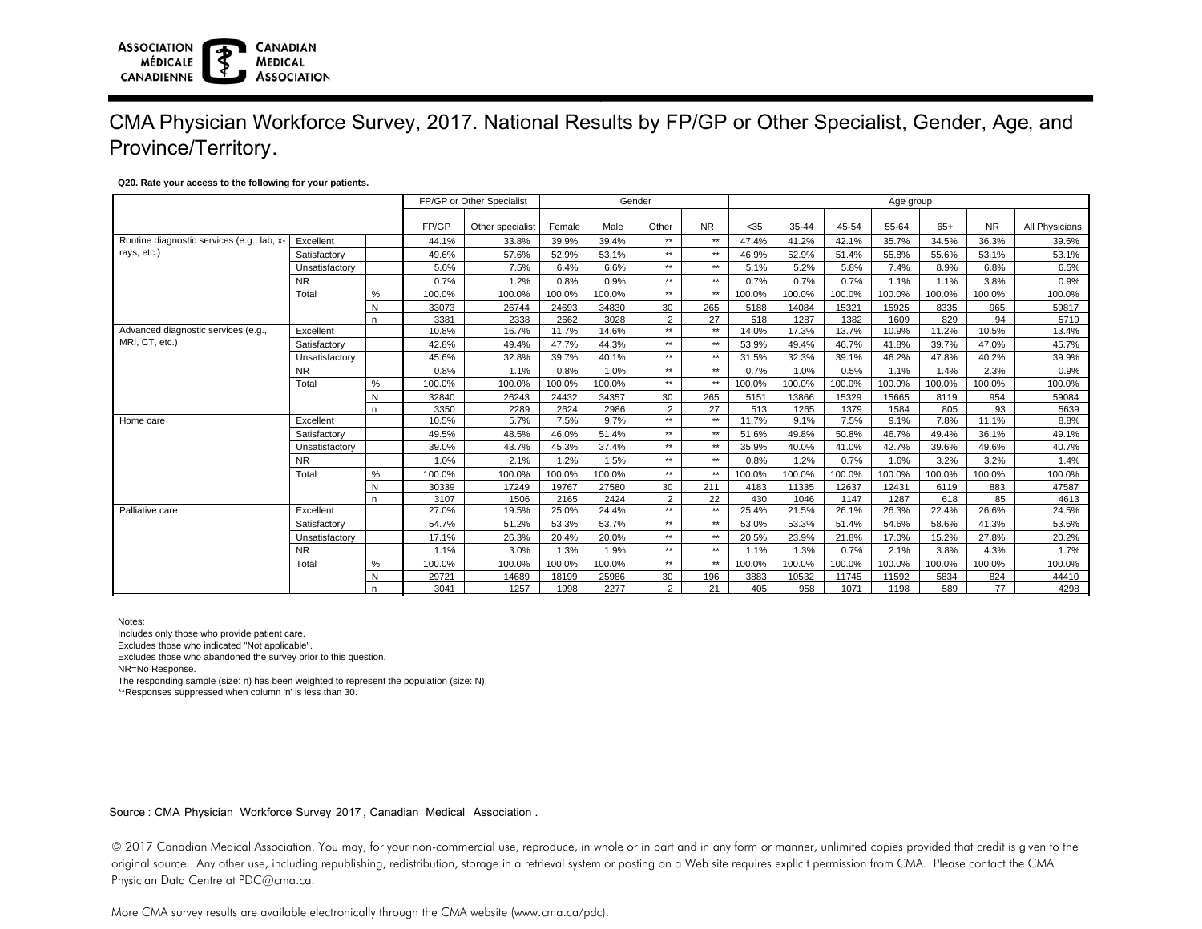#### **ASSOCIATION CANADIAN MÉDICALE MEDICAL ASSOCIATION CANADIENNE**

## CMA Physician Workforce Survey, 2017. National Results by FP/GP or Other Specialist, Gender, Age, and Province/Territory.

### **Q20. Rate your access to the following for your patients.**

|                                                         |                |       |                  | FP/GP or Other Specialist |        |        | Gender    |        | Age group |        |        |        |           |                |        |  |
|---------------------------------------------------------|----------------|-------|------------------|---------------------------|--------|--------|-----------|--------|-----------|--------|--------|--------|-----------|----------------|--------|--|
|                                                         |                | FP/GP | Other specialist | Female                    | Male   | Other  | <b>NR</b> | $<$ 35 | 35-44     | 45-54  | 55-64  | $65+$  | <b>NR</b> | All Physicians |        |  |
| Routine diagnostic services (e.g., lab, x-<br>Excellent |                |       | 44.1%            | 33.8%                     | 39.9%  | 39.4%  | $**$      | $**$   | 47.4%     | 41.2%  | 42.1%  | 35.7%  | 34.5%     | 36.3%          | 39.5%  |  |
| rays, etc.)                                             | Satisfactory   |       | 49.6%            | 57.6%                     | 52.9%  | 53.1%  | $**$      | $**$   | 46.9%     | 52.9%  | 51.4%  | 55.8%  | 55.6%     | 53.1%          | 53.1%  |  |
|                                                         | Unsatisfactory |       | 5.6%             | 7.5%                      | 6.4%   | 6.6%   | $**$      | $**$   | 5.1%      | 5.2%   | 5.8%   | 7.4%   | 8.9%      | 6.8%           | 6.5%   |  |
|                                                         | <b>NR</b>      |       | 0.7%             | 1.2%                      | 0.8%   | 0.9%   | $**$      | $**$   | 0.7%      | 0.7%   | 0.7%   | 1.1%   | 1.1%      | 3.8%           | 0.9%   |  |
|                                                         | Total          | %     | 100.0%           | 100.0%                    | 100.0% | 100.0% | $**$      | $**$   | 100.0%    | 100.0% | 100.0% | 100.0% | 100.0%    | 100.0%         | 100.0% |  |
|                                                         |                | N     | 33073            | 26744                     | 24693  | 34830  | 30        | 265    | 5188      | 14084  | 15321  | 15925  | 8335      | 965            | 59817  |  |
|                                                         |                | n.    | 3381             | 2338                      | 2662   | 3028   | 2         | 27     | 518       | 1287   | 1382   | 1609   | 829       | 94             | 5719   |  |
| Advanced diagnostic services (e.g.,                     | Excellent      |       | 10.8%            | 16.7%                     | 11.7%  | 14.6%  | $**$      | $**$   | 14.0%     | 17.3%  | 13.7%  | 10.9%  | 11.2%     | 10.5%          | 13.4%  |  |
| MRI, CT, etc.)                                          | Satisfactory   |       | 42.8%            | 49.4%                     | 47.7%  | 44.3%  | $**$      | $**$   | 53.9%     | 49.4%  | 46.7%  | 41.8%  | 39.7%     | 47.0%          | 45.7%  |  |
|                                                         | Unsatisfactory |       | 45.6%            | 32.8%                     | 39.7%  | 40.1%  | $**$      | $**$   | 31.5%     | 32.3%  | 39.1%  | 46.2%  | 47.8%     | 40.2%          | 39.9%  |  |
|                                                         | <b>NR</b>      |       | 0.8%             | 1.1%                      | 0.8%   | 1.0%   | $**$      | $**$   | 0.7%      | 1.0%   | 0.5%   | 1.1%   | 1.4%      | 2.3%           | 0.9%   |  |
|                                                         | Total          | %     | 100.0%           | 100.0%                    | 100.0% | 100.0% | $**$      | $**$   | 100.0%    | 100.0% | 100.0% | 100.0% | 100.0%    | 100.0%         | 100.0% |  |
|                                                         |                | N     | 32840            | 26243                     | 24432  | 34357  | 30        | 265    | 5151      | 13866  | 15329  | 15665  | 8119      | 954            | 59084  |  |
|                                                         |                | n.    | 3350             | 2289                      | 2624   | 2986   | 2         | 27     | 513       | 1265   | 1379   | 1584   | 805       | 93             | 5639   |  |
| Home care                                               | Excellent      |       | 10.5%            | 5.7%                      | 7.5%   | 9.7%   | $**$      | $**$   | 11.7%     | 9.1%   | 7.5%   | 9.1%   | 7.8%      | 11.1%          | 8.8%   |  |
|                                                         | Satisfactory   |       | 49.5%            | 48.5%                     | 46.0%  | 51.4%  | $**$      | $**$   | 51.6%     | 49.8%  | 50.8%  | 46.7%  | 49.4%     | 36.1%          | 49.1%  |  |
|                                                         | Unsatisfactory |       | 39.0%            | 43.7%                     | 45.3%  | 37.4%  | $**$      | $**$   | 35.9%     | 40.0%  | 41.0%  | 42.7%  | 39.6%     | 49.6%          | 40.7%  |  |
|                                                         | <b>NR</b>      |       | 1.0%             | 2.1%                      | 1.2%   | 1.5%   | $**$      | $**$   | 0.8%      | 1.2%   | 0.7%   | 1.6%   | 3.2%      | 3.2%           | 1.4%   |  |
|                                                         | Total          | ℅     | 100.0%           | 100.0%                    | 100.0% | 100.0% | $**$      | $**$   | 100.0%    | 100.0% | 100.0% | 100.0% | 100.0%    | 100.0%         | 100.0% |  |
|                                                         |                | N     | 30339            | 17249                     | 19767  | 27580  | 30        | 211    | 4183      | 11335  | 12637  | 12431  | 6119      | 883            | 47587  |  |
|                                                         |                | n.    | 3107             | 1506                      | 2165   | 2424   | 2         | 22     | 430       | 1046   | 1147   | 1287   | 618       | 85             | 4613   |  |
| Palliative care                                         | Excellent      |       | 27.0%            | 19.5%                     | 25.0%  | 24.4%  | $**$      | $**$   | 25.4%     | 21.5%  | 26.1%  | 26.3%  | 22.4%     | 26.6%          | 24.5%  |  |
|                                                         | Satisfactory   |       | 54.7%            | 51.2%                     | 53.3%  | 53.7%  | $**$      | $**$   | 53.0%     | 53.3%  | 51.4%  | 54.6%  | 58.6%     | 41.3%          | 53.6%  |  |
|                                                         | Unsatisfactory |       | 17.1%            | 26.3%                     | 20.4%  | 20.0%  | $**$      | $**$   | 20.5%     | 23.9%  | 21.8%  | 17.0%  | 15.2%     | 27.8%          | 20.2%  |  |
|                                                         | <b>NR</b>      |       | 1.1%             | 3.0%                      | 1.3%   | 1.9%   | $**$      | $**$   | 1.1%      | 1.3%   | 0.7%   | 2.1%   | 3.8%      | 4.3%           | 1.7%   |  |
|                                                         | Total          | %     | 100.0%           | 100.0%                    | 100.0% | 100.0% | $**$      | $**$   | 100.0%    | 100.0% | 100.0% | 100.0% | 100.0%    | 100.0%         | 100.0% |  |
|                                                         |                | N     | 29721            | 14689                     | 18199  | 25986  | 30        | 196    | 3883      | 10532  | 11745  | 11592  | 5834      | 824            | 44410  |  |
|                                                         |                | n     | 3041             | 1257                      | 1998   | 2277   | 2         | 21     | 405       | 958    | 1071   | 1198   | 589       | 77             | 4298   |  |

Notes:

Includes only those who provide patient care.

Excludes those who indicated "Not applicable".

Excludes those who abandoned the survey prior to this question.

NR=No Response.

The responding sample (size: n) has been weighted to represent the population (size: N).

\*\*Responses suppressed when column 'n' is less than 30.

Source : CMA Physician Workforce Survey 2017, Canadian Medical Association .

© 2017 Canadian Medical Association. You may, for your non-commercial use, reproduce, in whole or in part and in any form or manner, unlimited copies provided that credit is given to the original source. Any other use, including republishing, redistribution, storage in a retrieval system or posting on a Web site requires explicit permission from CMA. Please contact the CMA Physician Data Centre at PDC@cma.ca.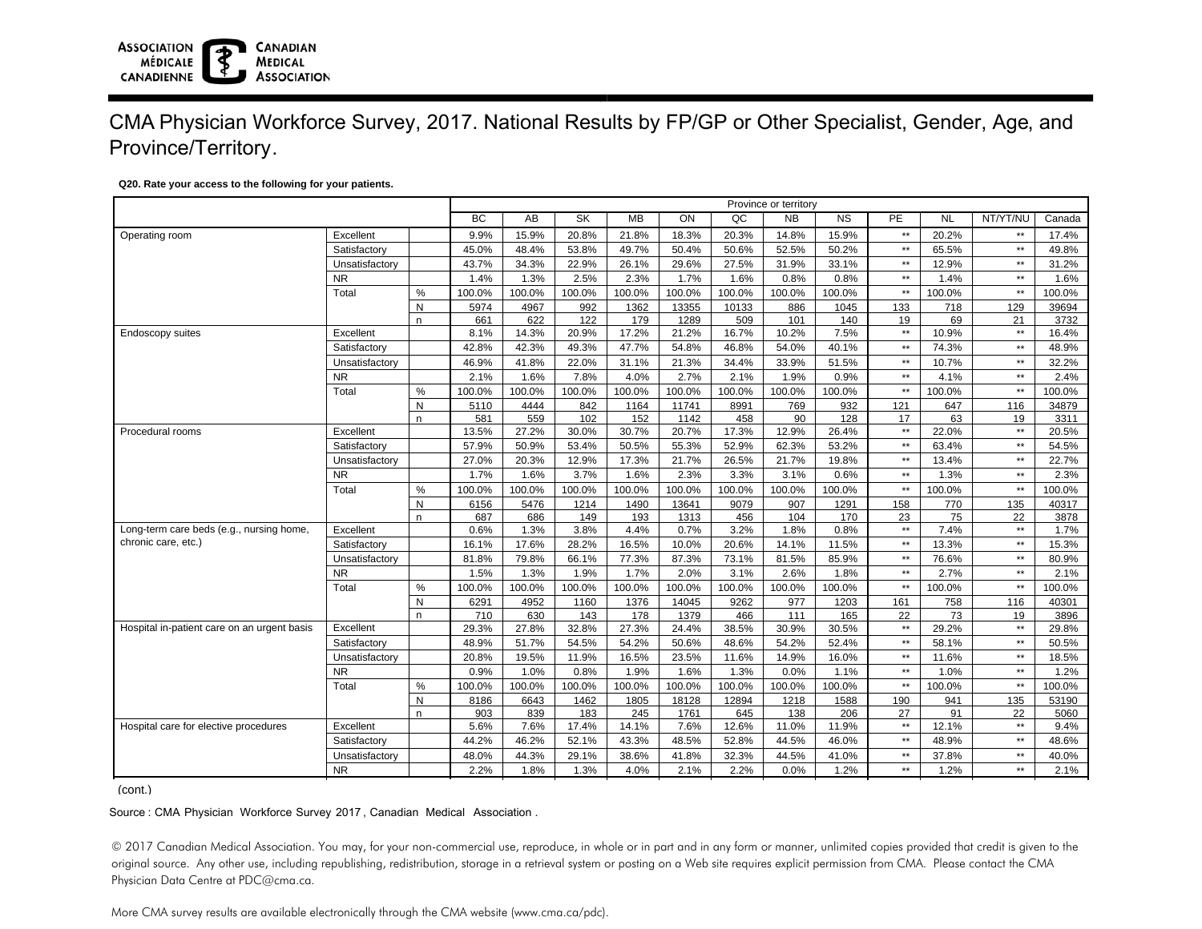#### **ASSOCIATION CANADIAN MÉDICALE MEDICAL ASSOCIATION CANADIENNE**

## CMA Physician Workforce Survey, 2017. National Results by FP/GP or Other Specialist, Gender, Age, and Province/Territory.

### **Q20. Rate your access to the following for your patients.**

|                                             |                |              | Province or territory |        |                        |           |        |        |           |                 |              |           |                 |        |
|---------------------------------------------|----------------|--------------|-----------------------|--------|------------------------|-----------|--------|--------|-----------|-----------------|--------------|-----------|-----------------|--------|
|                                             |                |              | <b>BC</b>             | AB     | $\overline{\text{SK}}$ | <b>MB</b> | ON     | QC     | <b>NB</b> | $\overline{NS}$ | PE           | <b>NL</b> | NT/YT/NU        | Canada |
| Operating room                              | Excellent      |              | 9.9%                  | 15.9%  | 20.8%                  | 21.8%     | 18.3%  | 20.3%  | 14.8%     | 15.9%           | $\star\star$ | 20.2%     | $\star\star$    | 17.4%  |
|                                             | Satisfactory   |              | 45.0%                 | 48.4%  | 53.8%                  | 49.7%     | 50.4%  | 50.6%  | 52.5%     | 50.2%           | $\star\star$ | 65.5%     | $^{\star\star}$ | 49.8%  |
|                                             | Unsatisfactory |              | 43.7%                 | 34.3%  | 22.9%                  | 26.1%     | 29.6%  | 27.5%  | 31.9%     | 33.1%           | $\star\star$ | 12.9%     | $\star\star$    | 31.2%  |
|                                             | <b>NR</b>      |              | 1.4%                  | 1.3%   | 2.5%                   | 2.3%      | 1.7%   | 1.6%   | 0.8%      | 0.8%            | $**$         | 1.4%      | $***$           | 1.6%   |
|                                             | Total          | $\%$         | 100.0%                | 100.0% | 100.0%                 | 100.0%    | 100.0% | 100.0% | 100.0%    | 100.0%          | $\star\star$ | 100.0%    | $\star\star$    | 100.0% |
|                                             |                | $\mathsf{N}$ | 5974                  | 4967   | 992                    | 1362      | 13355  | 10133  | 886       | 1045            | 133          | 718       | 129             | 39694  |
|                                             |                | n.           | 661                   | 622    | 122                    | 179       | 1289   | 509    | 101       | 140             | 19           | 69        | 21              | 3732   |
| Endoscopy suites                            | Excellent      |              | 8.1%                  | 14.3%  | 20.9%                  | 17.2%     | 21.2%  | 16.7%  | 10.2%     | 7.5%            | $\star\star$ | 10.9%     | $***$           | 16.4%  |
|                                             | Satisfactory   |              | 42.8%                 | 42.3%  | 49.3%                  | 47.7%     | 54.8%  | 46.8%  | 54.0%     | 40.1%           | $\star\star$ | 74.3%     | $\star\star$    | 48.9%  |
|                                             | Unsatisfactory |              | 46.9%                 | 41.8%  | 22.0%                  | 31.1%     | 21.3%  | 34.4%  | 33.9%     | 51.5%           | $\star\star$ | 10.7%     | $***$           | 32.2%  |
|                                             | <b>NR</b>      |              | 2.1%                  | 1.6%   | 7.8%                   | 4.0%      | 2.7%   | 2.1%   | 1.9%      | 0.9%            | $\star\star$ | 4.1%      | $***$           | 2.4%   |
|                                             | Total          | $\%$         | 100.0%                | 100.0% | 100.0%                 | 100.0%    | 100.0% | 100.0% | 100.0%    | 100.0%          | $\star\star$ | 100.0%    | $\star\star$    | 100.0% |
|                                             |                | N            | 5110                  | 4444   | 842                    | 1164      | 11741  | 8991   | 769       | 932             | 121          | 647       | 116             | 34879  |
|                                             |                | n.           | 581                   | 559    | 102                    | 152       | 1142   | 458    | 90        | 128             | 17           | 63        | 19              | 3311   |
| Procedural rooms                            | Excellent      |              | 13.5%                 | 27.2%  | 30.0%                  | 30.7%     | 20.7%  | 17.3%  | 12.9%     | 26.4%           | $\star\star$ | 22.0%     | $\star\star$    | 20.5%  |
|                                             | Satisfactory   |              | 57.9%                 | 50.9%  | 53.4%                  | 50.5%     | 55.3%  | 52.9%  | 62.3%     | 53.2%           | $\star\star$ | 63.4%     | $***$           | 54.5%  |
|                                             | Unsatisfactory |              | 27.0%                 | 20.3%  | 12.9%                  | 17.3%     | 21.7%  | 26.5%  | 21.7%     | 19.8%           | $\star\star$ | 13.4%     | $***$           | 22.7%  |
|                                             | <b>NR</b>      |              | 1.7%                  | 1.6%   | 3.7%                   | 1.6%      | 2.3%   | 3.3%   | 3.1%      | 0.6%            | $\star\star$ | 1.3%      | $\star\star$    | 2.3%   |
|                                             | Total          | %            | 100.0%                | 100.0% | 100.0%                 | 100.0%    | 100.0% | 100.0% | 100.0%    | 100.0%          | $\star\star$ | 100.0%    | $\star\star$    | 100.0% |
|                                             |                | N            | 6156                  | 5476   | 1214                   | 1490      | 13641  | 9079   | 907       | 1291            | 158          | 770       | 135             | 40317  |
|                                             |                | n            | 687                   | 686    | 149                    | 193       | 1313   | 456    | 104       | 170             | 23           | 75        | 22              | 3878   |
| Long-term care beds (e.g., nursing home,    | Excellent      |              | 0.6%                  | 1.3%   | 3.8%                   | 4.4%      | 0.7%   | 3.2%   | 1.8%      | 0.8%            | $\star\star$ | 7.4%      | $***$           | 1.7%   |
| chronic care, etc.)                         | Satisfactory   |              | 16.1%                 | 17.6%  | 28.2%                  | 16.5%     | 10.0%  | 20.6%  | 14.1%     | 11.5%           | $\star\star$ | 13.3%     | $\star\star$    | 15.3%  |
|                                             | Unsatisfactory |              | 81.8%                 | 79.8%  | 66.1%                  | 77.3%     | 87.3%  | 73.1%  | 81.5%     | 85.9%           | $\star\star$ | 76.6%     | $^{\star\star}$ | 80.9%  |
|                                             | <b>NR</b>      |              | 1.5%                  | 1.3%   | 1.9%                   | 1.7%      | 2.0%   | 3.1%   | 2.6%      | 1.8%            | $\star\star$ | 2.7%      | $***$           | 2.1%   |
|                                             | Total          | $\%$         | 100.0%                | 100.0% | 100.0%                 | 100.0%    | 100.0% | 100.0% | 100.0%    | 100.0%          | $\star\star$ | 100.0%    | $\star\star$    | 100.0% |
|                                             |                | $\mathsf{N}$ | 6291                  | 4952   | 1160                   | 1376      | 14045  | 9262   | 977       | 1203            | 161          | 758       | 116             | 40301  |
|                                             |                | n.           | 710                   | 630    | 143                    | 178       | 1379   | 466    | 111       | 165             | 22           | 73        | 19              | 3896   |
| Hospital in-patient care on an urgent basis | Excellent      |              | 29.3%                 | 27.8%  | 32.8%                  | 27.3%     | 24.4%  | 38.5%  | 30.9%     | 30.5%           | $\star\star$ | 29.2%     | $\star\star$    | 29.8%  |
|                                             | Satisfactory   |              | 48.9%                 | 51.7%  | 54.5%                  | 54.2%     | 50.6%  | 48.6%  | 54.2%     | 52.4%           | $\star\star$ | 58.1%     | $^{\star\star}$ | 50.5%  |
|                                             | Unsatisfactory |              | 20.8%                 | 19.5%  | 11.9%                  | 16.5%     | 23.5%  | 11.6%  | 14.9%     | 16.0%           | $\star\star$ | 11.6%     | $***$           | 18.5%  |
|                                             | <b>NR</b>      |              | 0.9%                  | 1.0%   | 0.8%                   | 1.9%      | 1.6%   | 1.3%   | 0.0%      | 1.1%            | $\star\star$ | 1.0%      | $\star\star$    | 1.2%   |
|                                             | Total          | $\%$         | 100.0%                | 100.0% | 100.0%                 | 100.0%    | 100.0% | 100.0% | 100.0%    | 100.0%          | $\star\star$ | 100.0%    | $\star\star$    | 100.0% |
|                                             |                | N            | 8186                  | 6643   | 1462                   | 1805      | 18128  | 12894  | 1218      | 1588            | 190          | 941       | 135             | 53190  |
|                                             |                | n.           | 903                   | 839    | 183                    | 245       | 1761   | 645    | 138       | 206             | 27           | 91        | 22              | 5060   |
| Hospital care for elective procedures       | Excellent      |              | 5.6%                  | 7.6%   | 17.4%                  | 14.1%     | 7.6%   | 12.6%  | 11.0%     | 11.9%           | $\star\star$ | 12.1%     | $\star\star$    | 9.4%   |
|                                             | Satisfactory   |              | 44.2%                 | 46.2%  | 52.1%                  | 43.3%     | 48.5%  | 52.8%  | 44.5%     | 46.0%           | $\star\star$ | 48.9%     | $***$           | 48.6%  |
|                                             | Unsatisfactory |              | 48.0%                 | 44.3%  | 29.1%                  | 38.6%     | 41.8%  | 32.3%  | 44.5%     | 41.0%           | $\star\star$ | 37.8%     | $***$           | 40.0%  |
|                                             | <b>NR</b>      |              | 2.2%                  | 1.8%   | 1.3%                   | 4.0%      | 2.1%   | 2.2%   | 0.0%      | 1.2%            | $**$         | 1.2%      | $**$            | 2.1%   |
| (cont.)                                     |                |              |                       |        |                        |           |        |        |           |                 |              |           |                 |        |

Source : CMA Physician Workforce Survey 2017, Canadian Medical Association .

© 2017 Canadian Medical Association. You may, for your non-commercial use, reproduce, in whole or in part and in any form or manner, unlimited copies provided that credit is given to the original source. Any other use, including republishing, redistribution, storage in a retrieval system or posting on a Web site requires explicit permission from CMA. Please contact the CMA Physician Data Centre at PDC@cma.ca.